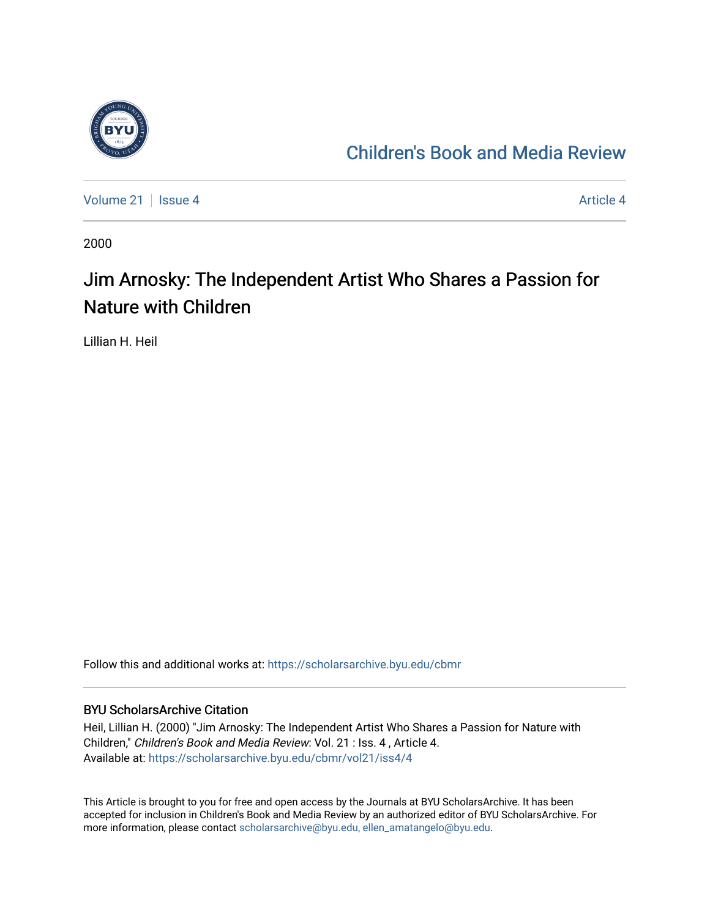

## [Children's Book and Media Review](https://scholarsarchive.byu.edu/cbmr)

[Volume 21](https://scholarsarchive.byu.edu/cbmr/vol21) | [Issue 4](https://scholarsarchive.byu.edu/cbmr/vol21/iss4) Article 4

2000

## Jim Arnosky: The Independent Artist Who Shares a Passion for Nature with Children

Lillian H. Heil

Follow this and additional works at: [https://scholarsarchive.byu.edu/cbmr](https://scholarsarchive.byu.edu/cbmr?utm_source=scholarsarchive.byu.edu%2Fcbmr%2Fvol21%2Fiss4%2F4&utm_medium=PDF&utm_campaign=PDFCoverPages) 

## BYU ScholarsArchive Citation

Heil, Lillian H. (2000) "Jim Arnosky: The Independent Artist Who Shares a Passion for Nature with Children," Children's Book and Media Review: Vol. 21 : Iss. 4 , Article 4. Available at: [https://scholarsarchive.byu.edu/cbmr/vol21/iss4/4](https://scholarsarchive.byu.edu/cbmr/vol21/iss4/4?utm_source=scholarsarchive.byu.edu%2Fcbmr%2Fvol21%2Fiss4%2F4&utm_medium=PDF&utm_campaign=PDFCoverPages) 

This Article is brought to you for free and open access by the Journals at BYU ScholarsArchive. It has been accepted for inclusion in Children's Book and Media Review by an authorized editor of BYU ScholarsArchive. For more information, please contact [scholarsarchive@byu.edu, ellen\\_amatangelo@byu.edu.](mailto:scholarsarchive@byu.edu,%20ellen_amatangelo@byu.edu)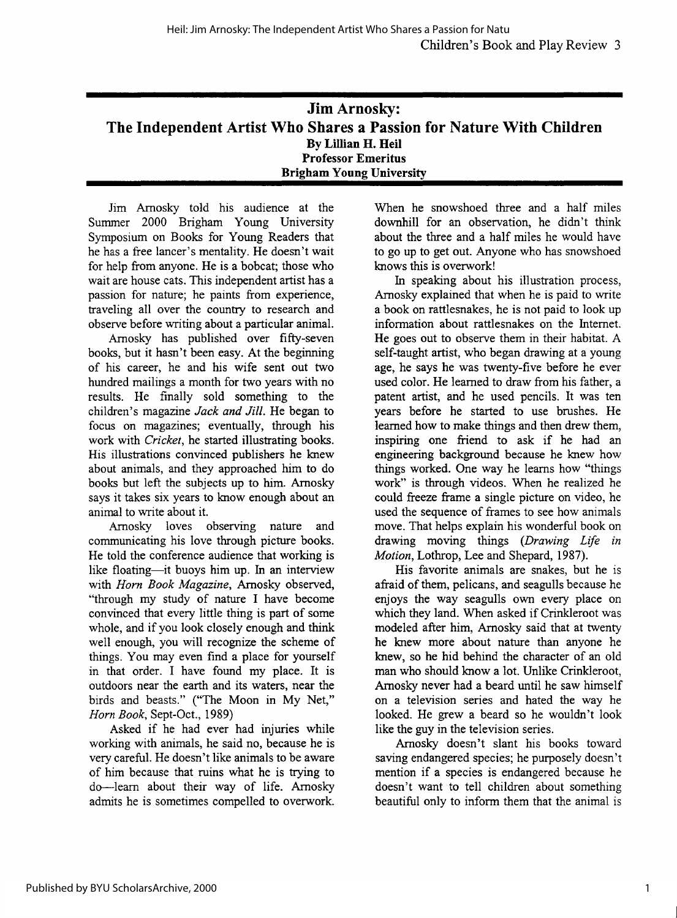| <b>Jim Arnosky:</b>                                                  |
|----------------------------------------------------------------------|
| The Independent Artist Who Shares a Passion for Nature With Children |
| By Lillian H. Heil                                                   |
| <b>Professor Emeritus</b>                                            |
| <b>Brigham Young University</b>                                      |

Jim Amosky told his audience at the Summer 2000 Brigham Young University Symposium on Books for Young Readers that he has a free lancer's mentality. He doesn't wait for help from anyone. He is a bobcat; those who wait are house cats. This independent artist has a passion for nature; he paints from experience, traveling all over the country to research and observe before writing about a particular animal.

Amosky has published over fifty-seven books, but it hasn't been easy. At the beginning of his career, he and his wife sent out two hundred mailings a month for two years with no results. He finally sold something to the children's magazine *Jack and Jill.* He began to focus on magazines; eventually, through his work with *Cricket,* he started illustrating books. His illustrations convinced publishers he knew about animals, and they approached him to do books but left the subjects up to him. Amosky says it takes six years to know enough about an animal to write about it.

Amosky loves observing nature and communicating his love through picture books. He told the conference audience that working is like floating-it buoys him up. In an interview with *Horn Book Magazine,* Amosky observed, "through my study of nature I have become convinced that every little thing is part of some whole, and if you look closely enough and think well enough, you will recognize the scheme of things. You may even find a place for yourself in that order. I have found my place. It is outdoors near the earth and its waters, near the birds and beasts." ("The Moon in My Net," *Horn Book,* Sept-Oct., 1989)

Asked if he had ever had injuries while working with animals, he said no, because he is very careful. He doesn't like animals to be aware of him because that ruins what he is trying to do-learn about their way of life. Amosky admits he is sometimes compelled to overwork.

When he snowshoed three and a half miles downhill for an observation, he didn't think about the three and a half miles he would have to go up to get out. Anyone who has snowshoed knows this is overwork!

In speaking about his illustration process, Amosky explained that when he is paid to write a book on rattlesnakes, he is not paid to look up information about rattlesnakes on the Internet. He goes out to observe them in their habitat. A self-taught artist, who began drawing at a young age, he says he was twenty-five before he ever used color. He learned to draw from his father, a patent artist, and he used pencils. It was ten years before he started to use brushes. He learned how to make things and then drew them, inspiring one friend to ask if he had an engineering background because he knew how things worked. One way he learns how "things work" is through videos. When he realized he could freeze frame a single picture on video, he used the sequence of frames to see how animals move. That helps explain his wonderful book on drawing moving things *(Drawing Life in Motion,* Lothrop, Lee and Shepard, 1987).

His favorite animals are snakes, but he is afraid of them, pelicans, and seagulls because he enjoys the way seagulls own every place on which they land. When asked if Crinkleroot was modeled after him, Amosky said that at twenty he knew more about nature than anyone he knew, so he hid behind the character of an old man who should know a lot. Unlike Crinkleroot, Amosky never had a beard until he saw himself on a television series and hated the way he looked. He grew a beard so he wouldn't look like the guy in the television series.

Amosky doesn't slant his books toward saving endangered species; he purposely doesn't mention if a species is endangered because he doesn't want to tell children about something beautiful only to inform them that the animal is